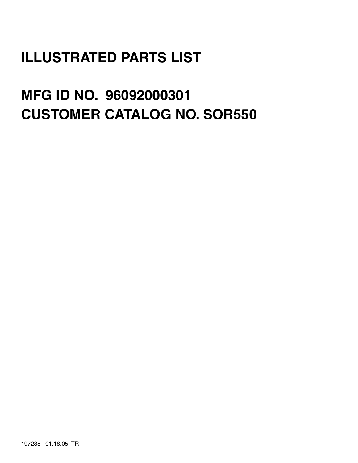# **ILLUSTRATED PARTS LIST**

# **MFG ID NO. 96092000301 CUSTOMER CATALOG NO. SOR550**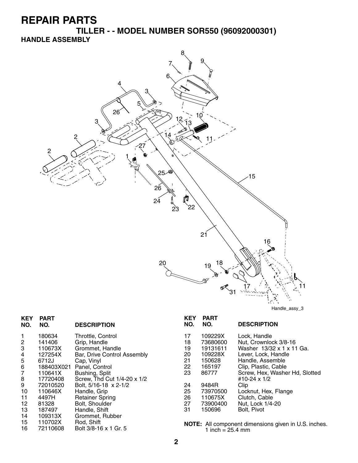**TILLER - - MODEL NUMBER SOR550 (96092000301) HANDLE ASSEMBLY**



| <b>KEY</b><br>NO. | <b>PART</b><br>NO. | <b>DESCRIPTION</b>          | <b>KEY</b><br>NO. | <b>PART</b><br>NO. | <b>DESCRIPTION</b>                                          |
|-------------------|--------------------|-----------------------------|-------------------|--------------------|-------------------------------------------------------------|
|                   | 180634             | Throttle, Control           | 17                | 109229X            | Lock, Handle                                                |
| $\overline{c}$    | 141406             | Grip, Handle                | 18                | 73680600           | Nut, Crownlock 3/8-16                                       |
| 3                 | 110673X            | Grommet, Handle             | 19                | 19131611           | Washer 13/32 x 1 x 11 Ga.                                   |
| 4                 | 127254X            | Bar, Drive Control Assembly | 20                | 109228X            | Lever, Lock, Handle                                         |
| 5                 | 6712J              | Cap, Vinyl                  | 21                | 150628             | Handle, Assemble                                            |
| 6                 | 188403X021         | Panel, Control              | 22                | 165197             | Clip, Plastic, Cable                                        |
| $\overline{7}$    | 110641X            | Bushing, Split              | 23                | 86777              | Screw, Hex, Washer Hd, Slotted                              |
| 8                 | 17720408           | Screw, Thd Cut 1/4-20 x 1/2 |                   |                    | #10-24 x 1/2                                                |
| 9                 | 72010520           | Bolt, 5/16-18 x 2-1/2       | 24                | 9484R              | Clip                                                        |
| 10                | 110646X            | Handle, Grip                | 25                | 73970500           | Locknut, Hex, Flange                                        |
| 11                | 4497H              | <b>Retainer Spring</b>      | 26                | 110675X            | Clutch, Cable                                               |
| 12                | 81328              | Bolt, Shoulder              | 27                | 73900400           | Nut, Lock 1/4-20                                            |
| 13                | 187497             | Handle, Shift               | 31                | 150696             | Bolt, Pivot                                                 |
| 14                | 109313X            | Grommet, Rubber             |                   |                    |                                                             |
| 15                | 110702X            | Rod, Shift                  |                   |                    | <b>NOTE:</b> All component dimensions given in U.S. inches. |
| 16                | 72110608           | Bolt 3/8-16 x 1 Gr. 5       |                   | 1 inch = $25.4$ mm |                                                             |
|                   |                    |                             |                   |                    |                                                             |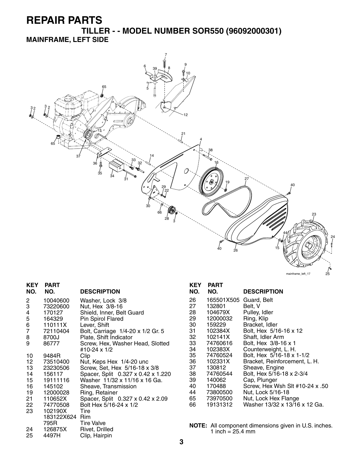**TILLER - - MODEL NUMBER SOR550 (96092000301) MAINFRAME, LEFT SIDE**



| <b>KEY</b><br>NO. | <b>PART</b><br>NO. | <b>DESCRIPTION</b>                 |
|-------------------|--------------------|------------------------------------|
|                   |                    |                                    |
| 2                 | 10040600           | Washer, Lock 3/8                   |
| 3                 | 73220600           | Nut, Hex 3/8-16                    |
| 4                 | 170127             | Shield, Inner, Belt Guard          |
| 5                 | 164329             | Pin Spirol Flared                  |
| 6                 | 110111X            | Lever, Shift                       |
| $\overline{7}$    | 72110404           | Bolt, Carriage 1/4-20 x 1/2 Gr. 5  |
| 8                 | 8700J              | Plate, Shift Indicator             |
| 9                 | 86777              | Screw, Hex, Washer Head, Slotted   |
|                   |                    | #10-24 x 1/2                       |
| 10                | 9484R              | Clip                               |
| 12 <sup>12</sup>  | 73510400           | Nut, Keps Hex 1/4-20 unc           |
| 13                | 23230506           | Screw, Set, Hex 5/16-18 x 3/8      |
| 14                | 156117             | Spacer, Split 0.327 x 0.42 x 1.220 |
| 15                | 19111116           | Washer 11/32 x 11/16 x 16 Ga.      |
| 16 —              | 145102             | Sheave, Transmission               |
| 19                | 12000028           | Ring, Retainer                     |
| 21                | 110652X            | Spacer, Split 0.327 x 0.42 x 2.09  |
| 22                | 74770508           | Bolt Hex 5/16-24 x 1/2             |
| 23                | 102190X            | Tire                               |
|                   | 183122X624 Rim     |                                    |
|                   | 795R               | <b>Tire Valve</b>                  |
| 24                | 126875X            | Rivet, Drilled                     |

25 4497H Clip, Hairpin

#### **KEY PART DESCRIPTION** 26 165501X505 Guard, Belt<br>27 132801 Belt, V 27 132801<br>28 104679X 28 104679X Pulley, Idler 29 12000032 Ring, Klip 30 159229 Bracket, Idler 31 102384X Bolt, Hex 5/16-16 x 12 32 102141X Shaft, Idler Arm 33 74760616 Bolt, Hex 3/8-16 x 1 34 102383X Counterweight, L. H. 35 74760524 Bolt, Hex 5/16-18 x 1-1/2 36 102331X Bracket, Reinforcement, L. H. 37 130812 Sheave, Engine<br>38 74760544 Bolt, Hex 5/16-1 38 74760544 Bolt, Hex 5/16-18 x 2-3/4 39 140062 Cap, Plunger 40 170488 Screw, Hex Wsh Slt #10-24 x .50 44 73800500 Nut, Lock 5/16-18 65 73970500 Nut, Lock Hex Flange

66 19131312 Washer 13/32 x 13/16 x 12 Ga.

**NOTE:** All component dimensions given in U.S. inches. 1 inch =  $25.4 \, \text{mm}$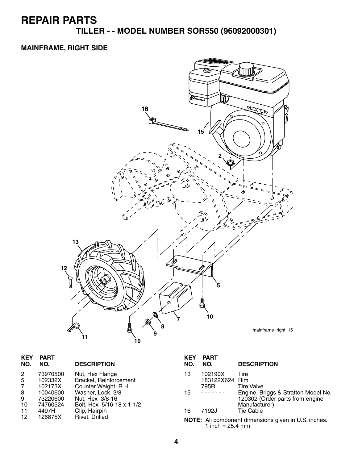**TILLER - - MODEL NUMBER SOR550 (96092000301)**

#### **MAINFRAME, RIGHT SIDE**



| <b>KEY</b><br>NO.                 | <b>PART</b><br>NO.                                                          | <b>DESCRIPTION</b>                                                                                                                                     | <b>KEY</b><br>NO. | <b>PART</b><br>NO.                         | <b>DESCRIPTION</b>                                                                                                                       |
|-----------------------------------|-----------------------------------------------------------------------------|--------------------------------------------------------------------------------------------------------------------------------------------------------|-------------------|--------------------------------------------|------------------------------------------------------------------------------------------------------------------------------------------|
| 2<br>5<br>7<br>8<br>9<br>10<br>11 | 73970500<br>102332X<br>102173X<br>10040600<br>73220600<br>74760524<br>4497H | Nut, Hex Flange<br>Bracket, Reinforcement<br>Counter Weight, R.H.<br>Washer, Lock 3/8<br>Nut, Hex 3/8-16<br>Bolt, Hex 5/16-18 x 1-1/2<br>Clip, Hairpin | 13<br>15<br>16    | 102190X<br>183122X624 Rim<br>795R<br>7192J | Tire<br><b>Tire Valve</b><br>Engine, Briggs & Stratton Model No.<br>120302 (Order parts from engine<br>Manufacturer)<br><b>Tie Cable</b> |
| 12                                | 126875X                                                                     | Rivet, Drilled                                                                                                                                         |                   | 1 inch = $25.4$ mm                         | NOTE: All component dimensions given in U.S. inches.                                                                                     |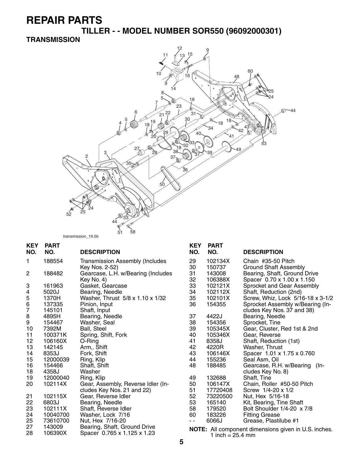**TILLER - - MODEL NUMBER SOR550 (96092000301)**

#### **TRANSMISSION**



| <b>KEY</b><br>NO. | <b>PART</b><br>NO. | <b>DESCRIPTION</b>                 | <b>KEY</b><br>NO. | <b>PART</b><br>NO. | <b>DESCRIPTION</b>                                        |
|-------------------|--------------------|------------------------------------|-------------------|--------------------|-----------------------------------------------------------|
| 1                 | 188554             | Transmission Assembly (Includes    | 29                | 102134X            | Chain #35-50 Pitch                                        |
|                   |                    | Key Nos. 2-52)                     | 30                | 150737             | <b>Ground Shaft Assembly</b>                              |
| $\overline{c}$    | 188482             | Gearcase, L.H. w/Bearing (Includes | 31                | 143008             | Bearing, Shaft, Ground Drive                              |
|                   |                    | Key No. 4)                         | 32                | 106388X            | Spacer 0.70 x 1.00 x 1.150                                |
| 3                 | 161963             | Gasket, Gearcase                   | 33                | 102121X            | Sprocket and Gear Assembly                                |
| 4                 | 5020J              | Bearing, Needle                    | 34                | 102112X            | Shaft, Reduction (2nd)                                    |
| 5                 | 1370H              | Washer, Thrust 5/8 x 1.10 x 1/32   | 35                | 102101X            | Screw, Whiz, Lock 5/16-18 x 3-1/2                         |
| 6                 | 137335             | Pinion, Input                      | 36                | 154355             | Sprocket Assembly w/Bearing (In-                          |
| $\overline{7}$    | 145101             | Shaft, Input                       |                   |                    | cludes Key Nos. 37 and 38)                                |
| 8                 | 4895H              | Bearing, Needle                    | 37                | 4422J              | Bearing, Needle                                           |
| 9                 | 154467             | Washer, Seal                       | 38                | 154356             | Sprocket, Tine                                            |
| 10                | 7392M              | Ball, Steel                        | 39                | 105345X            | Gear, Cluster, Red 1st & 2nd                              |
| 11                | 100371K            | Spring, Shift, Fork                | 40                | 105346X            | Gear, Reverse                                             |
| 12                | 106160X            | O-Ring                             | 41                | 8358J              | Shaft, Reduction (1st)                                    |
| 13                | 142145             | Arm, Shift                         | 42                | 4220R              | Washer, Thrust                                            |
| 14                | 8353J              | Fork, Shift                        | 43                | 106146X            | Spacer 1.01 x 1.75 x 0.760                                |
| 15                | 12000039           | Ring, Klip                         | 44                | 155236             | Seal Asm, Oil                                             |
| 16                | 154466             | Shaft, Shift                       | 48                | 188485             | Gearcase, R.H. w/Bearing<br>$(In-$                        |
| 18                | 4358J              | Washer                             |                   |                    | cludes Key No. 8)                                         |
| 19                | 12000040           | Ring, Klip                         | 49                | 132688             | Shaft, Tine                                               |
| 20                | 102114X            | Gear, Assembly, Reverse Idler (In- | 50                | 106147X            | Chain, Roller #50-50 Pitch                                |
|                   |                    | cludes Key Nos. 21 and 22)         | 51                | 17720408           | Screw 1/4-20 x 1/2                                        |
| 21                | 102115X            | Gear, Reverse Idler                | 52                | 73220500           | Nut, Hex 5/16-18                                          |
| 22                | 6803J              | Bearing, Needle                    | 53                | 165140             | Kit, Bearing, Tine Shaft                                  |
| 23                | 102111X            | Shaft, Reverse Idler               | 58                | 179520             | Bolt Shoulder 1/4-20 x 7/8                                |
| 24                | 10040700           | Washer, Lock 7/16                  | 60                | 183226             | <b>Fitting Grease</b>                                     |
| 25                | 73610700           | Nut, Hex 7/16-20                   | $ -$              | 6066J              | Grease, Plastilube #1                                     |
| 27                | 143009             | Bearing, Shaft, Ground Drive       |                   |                    | <b>NOTE:</b> All component dimensions given in LLS inches |

**NOTE:** All component dimensions given in U.S. inches. 1 inch =  $25.4 \, \text{mm}$ 

28 106390X Spacer 0.765 x 1.125 x 1.23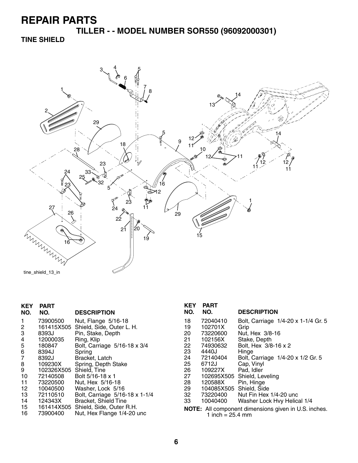**TILLER - - MODEL NUMBER SOR550 (96092000301)**

**TINE SHIELD**



| KEY<br>NO. | <b>PART</b><br>NO. | <b>DESCRIPTION</b>             |
|------------|--------------------|--------------------------------|
| 1          | 73900500           | Nut, Flange 5/16-18            |
| 2          | 161415X505         | Shield, Side, Outer L. H.      |
| 3          | 8393J              | Pin, Stake, Depth              |
| 4          | 12000035           | Ring, Klip                     |
| 5          | 180847             | Bolt, Carriage 5/16-18 x 3/4   |
| 6          | 8394J              | Spring                         |
| 7          | 8392J              | Bracket, Latch                 |
| 8          | 109230X            | Spring, Depth Stake            |
| 9          | 102326X505         | Shield, Tine                   |
| 10         | 72140508           | Bolt 5/16-18 x 1               |
| 11         | 73220500           | Nut. Hex 5/16-18               |
| 12         | 10040500           | Washer, Lock 5/16              |
| 13         | 72110510           | Bolt, Carriage 5/16-18 x 1-1/4 |
| 14         | 124343X            | <b>Bracket, Shield Tine</b>    |
| 15         | 161414X505         | Shield, Side, Outer R.H.       |
| 16         | 73900400           | Nut, Hex Flange 1/4-20 unc     |
|            |                    |                                |

| KEY                                                                                       | PART       |                                     |
|-------------------------------------------------------------------------------------------|------------|-------------------------------------|
| NO.                                                                                       | NO.        | <b>DESCRIPTION</b>                  |
| 18                                                                                        | 72040410   | Bolt, Carriage 1/4-20 x 1-1/4 Gr. 5 |
| 19                                                                                        | 102701X    | Grip                                |
| 20                                                                                        | 73220600   | Nut, Hex 3/8-16                     |
| 21                                                                                        | 102156X    | Stake, Depth                        |
| 22                                                                                        | 74930632   | Bolt, Hex 3/8-16 x 2                |
| 23                                                                                        | 4440J      | Hinge                               |
| 24                                                                                        | 72140404   | Bolt, Carriage 1/4-20 x 1/2 Gr. 5   |
| 25                                                                                        | 6712J      | Cap, Vinyl                          |
| 26                                                                                        | 109227X    | Pad, Idler                          |
| 27                                                                                        | 102695X505 | Shield, Leveling                    |
| 28                                                                                        | 120588X    | Pin, Hinge                          |
| 29                                                                                        | 104085X505 | Shield, Side                        |
| 32                                                                                        | 73220400   | Nut Fin Hex 1/4-20 unc              |
| 33                                                                                        | 10040400   | Washer Lock Hvy Helical 1/4         |
| <b>NOTE:</b> All component dimensions given in U.S. inches.<br>1 inch = $25.4 \text{ mm}$ |            |                                     |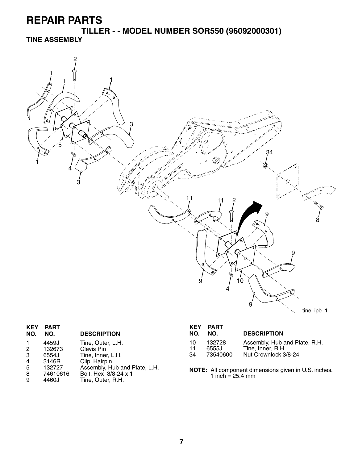**TILLER - - MODEL NUMBER SOR550 (96092000301) TINE ASSEMBLY**



| <b>KEY</b><br>NO. | <b>PART</b><br>NO. | <b>DESCRIPTION</b>            |
|-------------------|--------------------|-------------------------------|
|                   | 4459J              | Tine, Outer, L.H.             |
| 2                 | 132673             | Clevis Pin                    |
| 3                 | 6554J              | Tine, Inner, L.H.             |
| $\overline{4}$    | 3146R              | Clip, Hairpin                 |
| 5                 | 132727             | Assembly, Hub and Plate, L.H. |
| 8                 | 74610616           | Bolt, Hex 3/8-24 x 1          |
| 9                 | 4460J              | Tine, Outer, R.H.             |
|                   |                    |                               |

| <b>KEY</b><br>NO. | PART<br>NO. | <b>DESCRIPTION</b>            |
|-------------------|-------------|-------------------------------|
| 10                | 132728      | Assembly, Hub and Plate, R.H. |
| 11                | 6555J       | Tine, Inner, R.H.             |
| 34                | 73540600    | Nut Crownlock 3/8-24          |

**NOTE:** All component dimensions given in U.S. inches. 1 inch = 25.4 mm